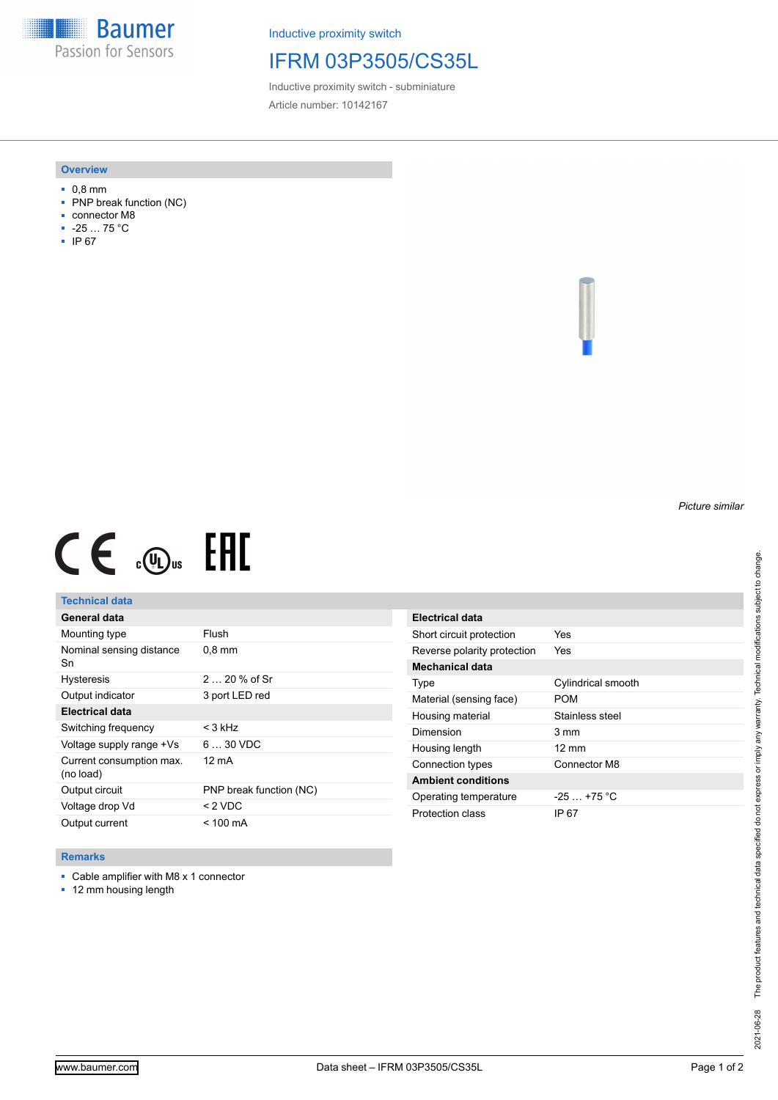**Baumer** Passion for Sensors

Inductive proximity switch

## IFRM 03P3505/CS35L

Inductive proximity switch - subminiature Article number: 10142167

#### **Overview**

- 0,8 mm
- PNP break function (NC)
- connector M8
- -25 … 75 °C
- IP 67

*Picture similar*

# $CE \mathcal{L}$  (Dus FRE

## **Technical data**

| General data                          |                         |
|---------------------------------------|-------------------------|
| Mounting type                         | Flush                   |
| Nominal sensing distance<br>Sn        | $0.8$ mm                |
| <b>Hysteresis</b>                     | $220%$ of Sr            |
| Output indicator                      | 3 port LED red          |
| <b>Electrical data</b>                |                         |
| Switching frequency                   | $<$ 3 kHz               |
| Voltage supply range +Vs              | $630$ VDC               |
| Current consumption max.<br>(no load) | 12 mA                   |
| Output circuit                        | PNP break function (NC) |
| Voltage drop Vd                       | $<$ 2 VDC               |
| Output current                        | $<$ 100 mA              |

| Electrical data             |                    |
|-----------------------------|--------------------|
| Short circuit protection    | Yes                |
| Reverse polarity protection | Yes                |
| Mechanical data             |                    |
| Type                        | Cylindrical smooth |
| Material (sensing face)     | POM                |
| Housing material            | Stainless steel    |
| Dimension                   | 3 mm               |
| Housing length              | $12 \text{ mm}$    |
| Connection types            | Connector M8       |
| <b>Ambient conditions</b>   |                    |
| Operating temperature       | $-25 + 75$ °C      |
| Protection class            | IP 67              |

### **Remarks**

■ Cable amplifier with M8 x 1 connector

■ 12 mm housing length